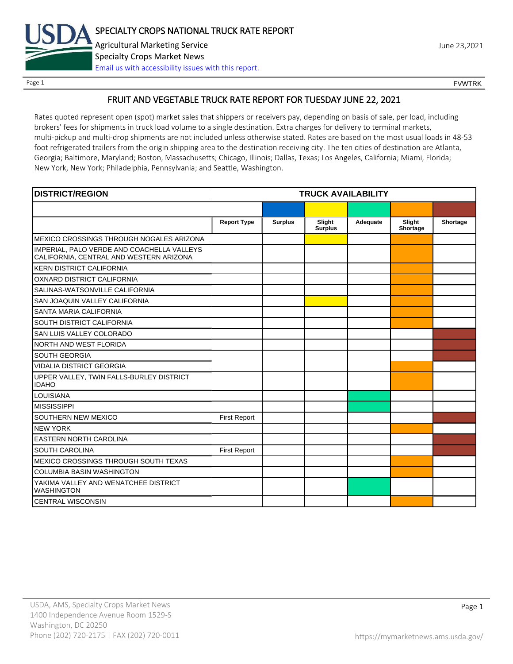

Page 1 FOUNTRK CONTROL CONTROL CONTROL CONTROL CONTROL CONTROL CONTROL CONTROL CONTROL CONTROL CONTROL CONTROL CONTROL CONTROL CONTROL CONTROL CONTROL CONTROL CONTROL CONTROL CONTROL CONTROL CONTROL CONTROL CONTROL CONTROL

# FRUIT AND VEGETABLE TRUCK RATE REPORT FOR TUESDAY JUNE 22, 2021

Rates quoted represent open (spot) market sales that shippers or receivers pay, depending on basis of sale, per load, including brokers' fees for shipments in truck load volume to a single destination. Extra charges for delivery to terminal markets, multi-pickup and multi-drop shipments are not included unless otherwise stated. Rates are based on the most usual loads in 48-53 foot refrigerated trailers from the origin shipping area to the destination receiving city. The ten cities of destination are Atlanta, Georgia; Baltimore, Maryland; Boston, Massachusetts; Chicago, Illinois; Dallas, Texas; Los Angeles, California; Miami, Florida; New York, New York; Philadelphia, Pennsylvania; and Seattle, Washington.

| <b>DISTRICT/REGION</b>                                                                |                     |                | <b>TRUCK AVAILABILITY</b> |          |                    |          |
|---------------------------------------------------------------------------------------|---------------------|----------------|---------------------------|----------|--------------------|----------|
|                                                                                       |                     |                |                           |          |                    |          |
|                                                                                       | <b>Report Type</b>  | <b>Surplus</b> | Slight<br><b>Surplus</b>  | Adequate | Slight<br>Shortage | Shortage |
| MEXICO CROSSINGS THROUGH NOGALES ARIZONA                                              |                     |                |                           |          |                    |          |
| IMPERIAL, PALO VERDE AND COACHELLA VALLEYS<br>CALIFORNIA, CENTRAL AND WESTERN ARIZONA |                     |                |                           |          |                    |          |
| <b>KERN DISTRICT CALIFORNIA</b>                                                       |                     |                |                           |          |                    |          |
| OXNARD DISTRICT CALIFORNIA                                                            |                     |                |                           |          |                    |          |
| SALINAS-WATSONVILLE CALIFORNIA                                                        |                     |                |                           |          |                    |          |
| SAN JOAQUIN VALLEY CALIFORNIA                                                         |                     |                |                           |          |                    |          |
| <b>SANTA MARIA CALIFORNIA</b>                                                         |                     |                |                           |          |                    |          |
| SOUTH DISTRICT CALIFORNIA                                                             |                     |                |                           |          |                    |          |
| SAN LUIS VALLEY COLORADO                                                              |                     |                |                           |          |                    |          |
| <b>NORTH AND WEST FLORIDA</b>                                                         |                     |                |                           |          |                    |          |
| <b>SOUTH GEORGIA</b>                                                                  |                     |                |                           |          |                    |          |
| <b>VIDALIA DISTRICT GEORGIA</b>                                                       |                     |                |                           |          |                    |          |
| UPPER VALLEY, TWIN FALLS-BURLEY DISTRICT<br><b>IDAHO</b>                              |                     |                |                           |          |                    |          |
| <b>LOUISIANA</b>                                                                      |                     |                |                           |          |                    |          |
| <b>MISSISSIPPI</b>                                                                    |                     |                |                           |          |                    |          |
| SOUTHERN NEW MEXICO                                                                   | <b>First Report</b> |                |                           |          |                    |          |
| <b>NEW YORK</b>                                                                       |                     |                |                           |          |                    |          |
| <b>EASTERN NORTH CAROLINA</b>                                                         |                     |                |                           |          |                    |          |
| <b>SOUTH CAROLINA</b>                                                                 | <b>First Report</b> |                |                           |          |                    |          |
| MEXICO CROSSINGS THROUGH SOUTH TEXAS                                                  |                     |                |                           |          |                    |          |
| <b>COLUMBIA BASIN WASHINGTON</b>                                                      |                     |                |                           |          |                    |          |
| YAKIMA VALLEY AND WENATCHEE DISTRICT<br><b>WASHINGTON</b>                             |                     |                |                           |          |                    |          |
| <b>CENTRAL WISCONSIN</b>                                                              |                     |                |                           |          |                    |          |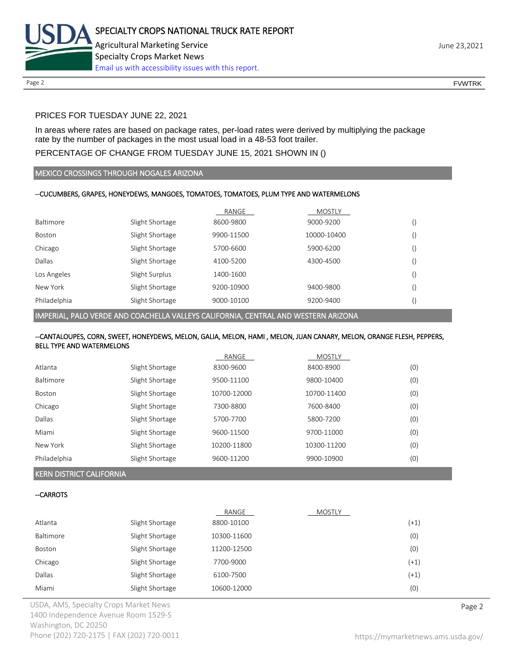

# PRICES FOR TUESDAY JUNE 22, 2021

In areas where rates are based on package rates, per-load rates were derived by multiplying the package rate by the number of packages in the most usual load in a 48-53 foot trailer.

# PERCENTAGE OF CHANGE FROM TUESDAY JUNE 15, 2021 SHOWN IN ()

### MEXICO CROSSINGS THROUGH NOGALES ARIZONA

### --CUCUMBERS, GRAPES, HONEYDEWS, MANGOES, TOMATOES, TOMATOES, PLUM TYPE AND WATERMELONS

|              |                 | RANGE      | <b>MOSTLY</b> |  |
|--------------|-----------------|------------|---------------|--|
| Baltimore    | Slight Shortage | 8600-9800  | 9000-9200     |  |
| Boston       | Slight Shortage | 9900-11500 | 10000-10400   |  |
| Chicago      | Slight Shortage | 5700-6600  | 5900-6200     |  |
| Dallas       | Slight Shortage | 4100-5200  | 4300-4500     |  |
| Los Angeles  | Slight Surplus  | 1400-1600  |               |  |
| New York     | Slight Shortage | 9200-10900 | 9400-9800     |  |
| Philadelphia | Slight Shortage | 9000-10100 | 9200-9400     |  |

IMPERIAL, PALO VERDE AND COACHELLA VALLEYS CALIFORNIA, CENTRAL AND WESTERN ARIZONA

### --CANTALOUPES, CORN, SWEET, HONEYDEWS, MELON, GALIA, MELON, HAMI , MELON, JUAN CANARY, MELON, ORANGE FLESH, PEPPERS, BELL TYPE AND WATERMELONS

|                  |                 | RANGE       | <b>MOSTLY</b> |     |
|------------------|-----------------|-------------|---------------|-----|
| Atlanta          | Slight Shortage | 8300-9600   | 8400-8900     | (0) |
| <b>Baltimore</b> | Slight Shortage | 9500-11100  | 9800-10400    | (0) |
| <b>Boston</b>    | Slight Shortage | 10700-12000 | 10700-11400   | (0) |
| Chicago          | Slight Shortage | 7300-8800   | 7600-8400     | (0) |
| Dallas           | Slight Shortage | 5700-7700   | 5800-7200     | (0) |
| Miami            | Slight Shortage | 9600-11500  | 9700-11000    | (0) |
| New York         | Slight Shortage | 10200-11800 | 10300-11200   | (0) |
| Philadelphia     | Slight Shortage | 9600-11200  | 9900-10900    | (0) |

#### KERN DISTRICT CALIFORNIA

#### --CARROTS

|           |                 | RANGE       | MOSTLY |        |
|-----------|-----------------|-------------|--------|--------|
| Atlanta   | Slight Shortage | 8800-10100  |        | $(+1)$ |
| Baltimore | Slight Shortage | 10300-11600 |        | (0)    |
| Boston    | Slight Shortage | 11200-12500 |        | (0)    |
| Chicago   | Slight Shortage | 7700-9000   |        | $(+1)$ |
| Dallas    | Slight Shortage | 6100-7500   |        | $(+1)$ |
| Miami     | Slight Shortage | 10600-12000 |        | (0)    |

USDA, AMS, Specialty Crops Market News **Page 2** 1400 Independence Avenue Room 1529-S Washington, DC 20250 Phone (202) 720-2175 | FAX (202) 720-0011 <https://mymarketnews.ams.usda.gov/>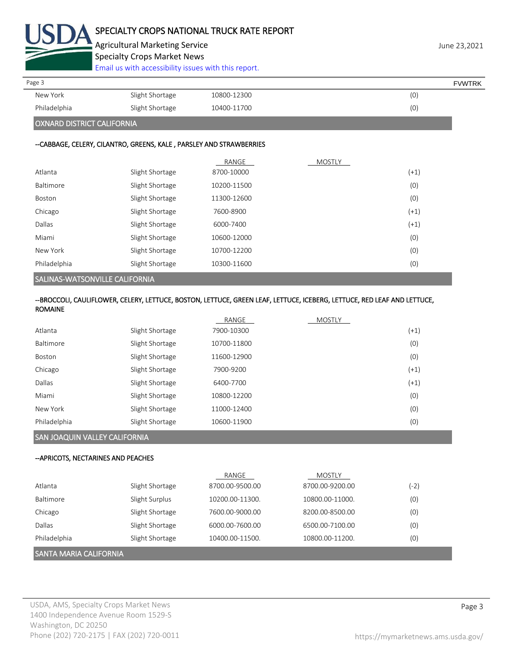

Agricultural Marketing Service **Agricultural Marketing Service** Agricultural Marketing Service Specialty Crops Market News

[Email us with accessibility issues with this report.](mailto:mars@ams.usda.gov?subject=508%20Inquiry/Report)

| Page 3                     |                 |             | <b>FVWTRK</b> |
|----------------------------|-----------------|-------------|---------------|
| New York                   | Slight Shortage | 10800-12300 | (0)           |
| Philadelphia               | Slight Shortage | 10400-11700 | (0)           |
| OXNARD DISTRICT CALIFORNIA |                 |             |               |

# --CABBAGE, CELERY, CILANTRO, GREENS, KALE , PARSLEY AND STRAWBERRIES

|                                       |                 | RANGE       | <b>MOSTLY</b> |        |
|---------------------------------------|-----------------|-------------|---------------|--------|
| Atlanta                               | Slight Shortage | 8700-10000  |               | $(+1)$ |
| Baltimore                             | Slight Shortage | 10200-11500 |               | (0)    |
| Boston                                | Slight Shortage | 11300-12600 |               | (0)    |
| Chicago                               | Slight Shortage | 7600-8900   |               | $(+1)$ |
| Dallas                                | Slight Shortage | 6000-7400   |               | $(+1)$ |
| Miami                                 | Slight Shortage | 10600-12000 |               | (0)    |
| New York                              | Slight Shortage | 10700-12200 |               | (0)    |
| Philadelphia                          | Slight Shortage | 10300-11600 |               | (0)    |
| <b>SALINAS-WATSONVILLE CALIFORNIA</b> |                 |             |               |        |

# --BROCCOLI, CAULIFLOWER, CELERY, LETTUCE, BOSTON, LETTUCE, GREEN LEAF, LETTUCE, ICEBERG, LETTUCE, RED LEAF AND LETTUCE, ROMAINE

|               |                 | RANGE       | <b>MOSTLY</b> |        |
|---------------|-----------------|-------------|---------------|--------|
| Atlanta       | Slight Shortage | 7900-10300  |               | $(+1)$ |
| Baltimore     | Slight Shortage | 10700-11800 |               | (0)    |
| <b>Boston</b> | Slight Shortage | 11600-12900 |               | (0)    |
| Chicago       | Slight Shortage | 7900-9200   |               | $(+1)$ |
| Dallas        | Slight Shortage | 6400-7700   |               | $(+1)$ |
| Miami         | Slight Shortage | 10800-12200 |               | (0)    |
| New York      | Slight Shortage | 11000-12400 |               | (0)    |
| Philadelphia  | Slight Shortage | 10600-11900 |               | (0)    |
|               |                 |             |               |        |

# SAN JOAQUIN VALLEY CALIFORNIA

# --APRICOTS, NECTARINES AND PEACHES

|                          |                 | RANGE           | MOSTLY          |      |
|--------------------------|-----------------|-----------------|-----------------|------|
| Atlanta                  | Slight Shortage | 8700.00-9500.00 | 8700.00-9200.00 | (-2) |
| <b>Baltimore</b>         | Slight Surplus  | 10200.00-11300. | 10800.00-11000. | (0)  |
| Chicago                  | Slight Shortage | 7600.00-9000.00 | 8200.00-8500.00 | (0)  |
| Dallas                   | Slight Shortage | 6000.00-7600.00 | 6500.00-7100.00 | (0)  |
| Philadelphia             | Slight Shortage | 10400.00-11500. | 10800.00-11200. | (0)  |
| I SANTA MARIA CALIFORNIA |                 |                 |                 |      |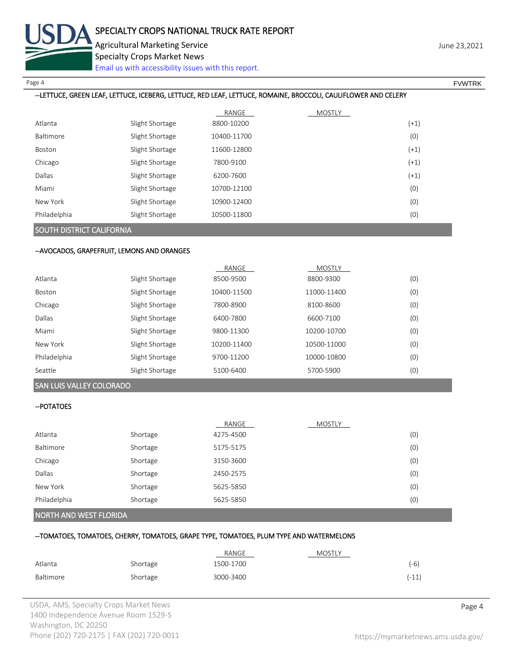

Page 4 FOUNTRK And the set of the set of the set of the set of the set of the set of the set of the set of the set of the set of the set of the set of the set of the set of the set of the set of the set of the set of the s

### --LETTUCE, GREEN LEAF, LETTUCE, ICEBERG, LETTUCE, RED LEAF, LETTUCE, ROMAINE, BROCCOLI, CAULIFLOWER AND CELERY

|              |                 | RANGE       | <b>MOSTLY</b> |        |
|--------------|-----------------|-------------|---------------|--------|
| Atlanta      | Slight Shortage | 8800-10200  |               | $(+1)$ |
| Baltimore    | Slight Shortage | 10400-11700 |               | (0)    |
| Boston       | Slight Shortage | 11600-12800 |               | $(+1)$ |
| Chicago      | Slight Shortage | 7800-9100   |               | $(+1)$ |
| Dallas       | Slight Shortage | 6200-7600   |               | $(+1)$ |
| Miami        | Slight Shortage | 10700-12100 |               | (0)    |
| New York     | Slight Shortage | 10900-12400 |               | (0)    |
| Philadelphia | Slight Shortage | 10500-11800 |               | (0)    |

# SOUTH DISTRICT CALIFORNIA

#### --AVOCADOS, GRAPEFRUIT, LEMONS AND ORANGES

|              |                 | RANGE       | <b>MOSTLY</b> |     |
|--------------|-----------------|-------------|---------------|-----|
| Atlanta      | Slight Shortage | 8500-9500   | 8800-9300     | (0) |
| Boston       | Slight Shortage | 10400-11500 | 11000-11400   | (0) |
| Chicago      | Slight Shortage | 7800-8900   | 8100-8600     | (0) |
| Dallas       | Slight Shortage | 6400-7800   | 6600-7100     | (0) |
| Miami        | Slight Shortage | 9800-11300  | 10200-10700   | (0) |
| New York     | Slight Shortage | 10200-11400 | 10500-11000   | (0) |
| Philadelphia | Slight Shortage | 9700-11200  | 10000-10800   | (0) |
| Seattle      | Slight Shortage | 5100-6400   | 5700-5900     | (0) |

# SAN LUIS VALLEY COLORADO

## --POTATOES

|              |          | RANGE     | <b>MOSTLY</b> |     |
|--------------|----------|-----------|---------------|-----|
| Atlanta      | Shortage | 4275-4500 |               | (0) |
| Baltimore    | Shortage | 5175-5175 |               | (0) |
| Chicago      | Shortage | 3150-3600 |               | (0) |
| Dallas       | Shortage | 2450-2575 |               | (0) |
| New York     | Shortage | 5625-5850 |               | (0) |
| Philadelphia | Shortage | 5625-5850 |               | (0) |
|              |          |           |               |     |

### NORTH AND WEST FLORIDA

#### --TOMATOES, TOMATOES, CHERRY, TOMATOES, GRAPE TYPE, TOMATOES, PLUM TYPE AND WATERMELONS

|           |          | RANGE     | <b>MOSTLY</b> |         |
|-----------|----------|-----------|---------------|---------|
| Atlanta   | Shortage | 1500-1700 |               | (-6)    |
| Baltimore | Shortage | 3000-3400 |               | $(-11)$ |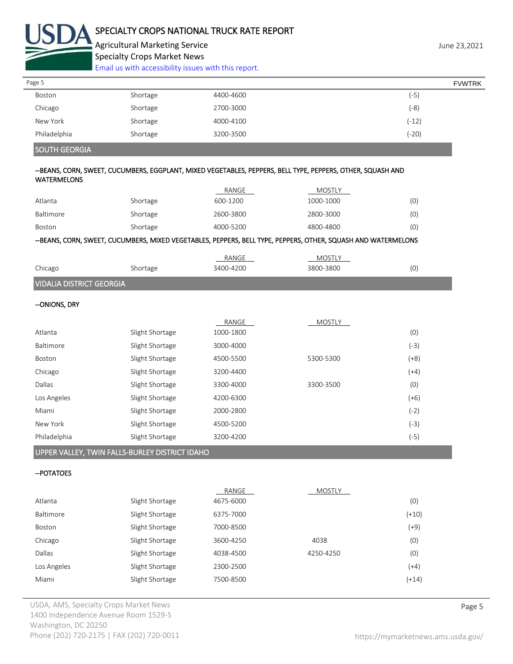

Agricultural Marketing Service **Agricultural Marketing Service** Agricultural Marketing Service Specialty Crops Market News [Email us with accessibility issues with this report.](mailto:mars@ams.usda.gov?subject=508%20Inquiry/Report)

| Page 5       |          |           | <b>FVWTRK</b> |
|--------------|----------|-----------|---------------|
| Boston       | Shortage | 4400-4600 | (-5)          |
| Chicago      | Shortage | 2700-3000 | (-8)          |
| New York     | Shortage | 4000-4100 | $(-12)$       |
| Philadelphia | Shortage | 3200-3500 | (-20)         |

# SOUTH GEORGIA

#### --BEANS, CORN, SWEET, CUCUMBERS, EGGPLANT, MIXED VEGETABLES, PEPPERS, BELL TYPE, PEPPERS, OTHER, SQUASH AND WATERMELONS

|           |          |           | ------------------------ |     |
|-----------|----------|-----------|--------------------------|-----|
| Boston    | Shortage | 4000-5200 | 4800-4800                | (0) |
| Baltimore | Shortage | 2600-3800 | 2800-3000                | (0) |
| Atlanta   | Shortage | 600-1200  | 1000-1000                | (0) |
|           |          | RANGE     | MOSTLY                   |     |

# --BEANS, CORN, SWEET, CUCUMBERS, MIXED VEGETABLES, PEPPERS, BELL TYPE, PEPPERS, OTHER, SQUASH AND WATERMELONS

|         |         | RANGE     | M       |   |
|---------|---------|-----------|---------|---|
| Chicago | hortage | 3400-4200 | $-3800$ | Ό |
|         |         |           |         |   |

# VIDALIA DISTRICT GEORGIA

## --ONIONS, DRY

|              |                 | RANGE     | <b>MOSTLY</b> |        |
|--------------|-----------------|-----------|---------------|--------|
| Atlanta      | Slight Shortage | 1000-1800 |               | (0)    |
| Baltimore    | Slight Shortage | 3000-4000 |               | (-3)   |
| Boston       | Slight Shortage | 4500-5500 | 5300-5300     | $(+8)$ |
| Chicago      | Slight Shortage | 3200-4400 |               | $(+4)$ |
| Dallas       | Slight Shortage | 3300-4000 | 3300-3500     | (0)    |
| Los Angeles  | Slight Shortage | 4200-6300 |               | $(+6)$ |
| Miami        | Slight Shortage | 2000-2800 |               | (-2)   |
| New York     | Slight Shortage | 4500-5200 |               | (-3)   |
| Philadelphia | Slight Shortage | 3200-4200 |               | (-5)   |

# UPPER VALLEY, TWIN FALLS-BURLEY DISTRICT IDAHO

### --POTATOES

|                 | RANGE     | <b>MOSTLY</b>                       |         |
|-----------------|-----------|-------------------------------------|---------|
| Slight Shortage |           |                                     | (0)     |
| Slight Shortage | 6375-7000 |                                     | $(+10)$ |
| Slight Shortage | 7000-8500 |                                     | (+9)    |
| Slight Shortage |           | 4038                                | (0)     |
| Slight Shortage |           | 4250-4250                           | (0)     |
| Slight Shortage | 2300-2500 |                                     | $(+4)$  |
| Slight Shortage | 7500-8500 |                                     | $(+14)$ |
|                 |           | 4675-6000<br>3600-4250<br>4038-4500 |         |

USDA, AMS, Specialty Crops Market News **Page 5** 1400 Independence Avenue Room 1529-S Washington, DC 20250 Phone (202) 720-2175 | FAX (202) 720-0011 <https://mymarketnews.ams.usda.gov/>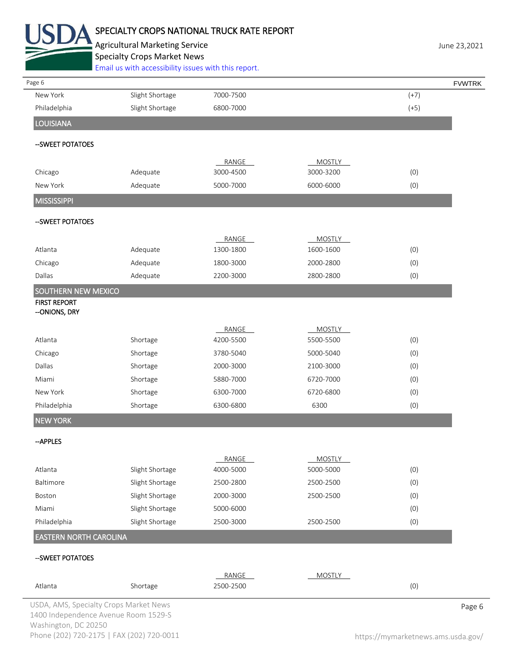

# SPECIALTY CROPS NATIONAL TRUCK RATE REPORT

Agricultural Marketing Service **Agricultural Marketing Service** June 23,2021 Specialty Crops Market News

[Email us with accessibility issues with this report.](mailto:mars@ams.usda.gov?subject=508%20Inquiry/Report)

| Page 6                                 |                 |           |               |        | <b>FVWTRK</b> |
|----------------------------------------|-----------------|-----------|---------------|--------|---------------|
| New York                               | Slight Shortage | 7000-7500 |               | $(+7)$ |               |
| Philadelphia                           | Slight Shortage | 6800-7000 |               | $(+5)$ |               |
| <b>LOUISIANA</b>                       |                 |           |               |        |               |
| --SWEET POTATOES                       |                 |           |               |        |               |
|                                        |                 | RANGE     | <b>MOSTLY</b> |        |               |
| Chicago                                | Adequate        | 3000-4500 | 3000-3200     | (0)    |               |
| New York                               | Adequate        | 5000-7000 | 6000-6000     | (0)    |               |
| <b>MISSISSIPPI</b>                     |                 |           |               |        |               |
| -- SWEET POTATOES                      |                 |           |               |        |               |
|                                        |                 | RANGE     | <b>MOSTLY</b> |        |               |
| Atlanta                                | Adequate        | 1300-1800 | 1600-1600     | (0)    |               |
| Chicago                                | Adequate        | 1800-3000 | 2000-2800     | (0)    |               |
| Dallas                                 | Adequate        | 2200-3000 | 2800-2800     | (0)    |               |
| <b>SOUTHERN NEW MEXICO</b>             |                 |           |               |        |               |
| <b>FIRST REPORT</b><br>--ONIONS, DRY   |                 |           |               |        |               |
|                                        |                 | RANGE     | <b>MOSTLY</b> |        |               |
| Atlanta                                | Shortage        | 4200-5500 | 5500-5500     | (0)    |               |
| Chicago                                | Shortage        | 3780-5040 | 5000-5040     | (0)    |               |
| Dallas                                 | Shortage        | 2000-3000 | 2100-3000     | (0)    |               |
| Miami                                  | Shortage        | 5880-7000 | 6720-7000     | (0)    |               |
| New York                               | Shortage        | 6300-7000 | 6720-6800     | (0)    |               |
| Philadelphia                           | Shortage        | 6300-6800 | 6300          | (0)    |               |
| <b>NEW YORK</b>                        |                 |           |               |        |               |
| --APPLES                               |                 |           |               |        |               |
|                                        |                 | RANGE     | <b>MOSTLY</b> |        |               |
| Atlanta                                | Slight Shortage | 4000-5000 | 5000-5000     | (0)    |               |
| Baltimore                              | Slight Shortage | 2500-2800 | 2500-2500     | (0)    |               |
| Boston                                 | Slight Shortage | 2000-3000 | 2500-2500     | (0)    |               |
| Miami                                  | Slight Shortage | 5000-6000 |               | (0)    |               |
| Philadelphia                           | Slight Shortage | 2500-3000 | 2500-2500     | (0)    |               |
| <b>EASTERN NORTH CAROLINA</b>          |                 |           |               |        |               |
| -- SWEET POTATOES                      |                 |           |               |        |               |
|                                        |                 | RANGE     | <b>MOSTLY</b> |        |               |
| Atlanta                                | Shortage        | 2500-2500 |               | (0)    |               |
| USDA, AMS, Specialty Crops Market News |                 |           |               |        | Page 6        |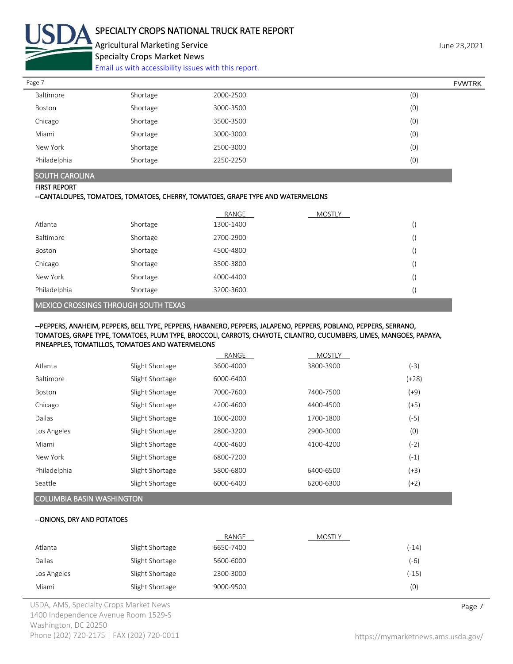

Agricultural Marketing Service **Agricultural Marketing Service** Agricultural Marketing Service Specialty Crops Market News

[Email us with accessibility issues with this report.](mailto:mars@ams.usda.gov?subject=508%20Inquiry/Report)

| Page 7       |          |           | <b>FVWTRK</b> |  |
|--------------|----------|-----------|---------------|--|
| Baltimore    | Shortage | 2000-2500 | (0)           |  |
| Boston       | Shortage | 3000-3500 | (0)           |  |
| Chicago      | Shortage | 3500-3500 | (0)           |  |
| Miami        | Shortage | 3000-3000 | (0)           |  |
| New York     | Shortage | 2500-3000 | (0)           |  |
| Philadelphia | Shortage | 2250-2250 | (0)           |  |

# SOUTH CAROLINA

## FIRST REPORT

#### --CANTALOUPES, TOMATOES, TOMATOES, CHERRY, TOMATOES, GRAPE TYPE AND WATERMELONS

|              |          | RANGE     | <b>MOSTLY</b> |  |
|--------------|----------|-----------|---------------|--|
| Atlanta      | Shortage | 1300-1400 |               |  |
| Baltimore    | Shortage | 2700-2900 |               |  |
| Boston       | Shortage | 4500-4800 |               |  |
| Chicago      | Shortage | 3500-3800 |               |  |
| New York     | Shortage | 4000-4400 |               |  |
| Philadelphia | Shortage | 3200-3600 |               |  |

#### MEXICO CROSSINGS THROUGH SOUTH TEXAS

#### --PEPPERS, ANAHEIM, PEPPERS, BELL TYPE, PEPPERS, HABANERO, PEPPERS, JALAPENO, PEPPERS, POBLANO, PEPPERS, SERRANO, TOMATOES, GRAPE TYPE, TOMATOES, PLUM TYPE, BROCCOLI, CARROTS, CHAYOTE, CILANTRO, CUCUMBERS, LIMES, MANGOES, PAPAYA, PINEAPPLES, TOMATILLOS, TOMATOES AND WATERMELONS

|                  |                                  | RANGE     | <b>MOSTLY</b> |         |  |  |
|------------------|----------------------------------|-----------|---------------|---------|--|--|
| Atlanta          | Slight Shortage                  | 3600-4000 | 3800-3900     | (-3)    |  |  |
| <b>Baltimore</b> | Slight Shortage                  | 6000-6400 |               | $(+28)$ |  |  |
| <b>Boston</b>    | Slight Shortage                  | 7000-7600 | 7400-7500     | (+9)    |  |  |
| Chicago          | Slight Shortage                  | 4200-4600 | 4400-4500     | (+5)    |  |  |
| Dallas           | Slight Shortage                  | 1600-2000 | 1700-1800     | (-5)    |  |  |
| Los Angeles      | Slight Shortage                  | 2800-3200 | 2900-3000     | (0)     |  |  |
| Miami            | Slight Shortage                  | 4000-4600 | 4100-4200     | (-2)    |  |  |
| New York         | Slight Shortage                  | 6800-7200 |               | $(-1)$  |  |  |
| Philadelphia     | Slight Shortage                  | 5800-6800 | 6400-6500     | (+3)    |  |  |
| Seattle          | Slight Shortage                  | 6000-6400 | 6200-6300     | $(+2)$  |  |  |
|                  | <b>COLUMBIA BASIN WASHINGTON</b> |           |               |         |  |  |

# --ONIONS, DRY AND POTATOES

|             |                 | RANGE     | <b>MOSTLY</b> |         |
|-------------|-----------------|-----------|---------------|---------|
| Atlanta     | Slight Shortage | 6650-7400 |               | (-14)   |
| Dallas      | Slight Shortage | 5600-6000 |               | (-6)    |
| Los Angeles | Slight Shortage | 2300-3000 |               | $(-15)$ |
| Miami       | Slight Shortage | 9000-9500 |               | (0)     |

USDA, AMS, Specialty Crops Market News **Page 7** 1400 Independence Avenue Room 1529-S Washington, DC 20250 Phone (202) 720-2175 | FAX (202) 720-0011 <https://mymarketnews.ams.usda.gov/>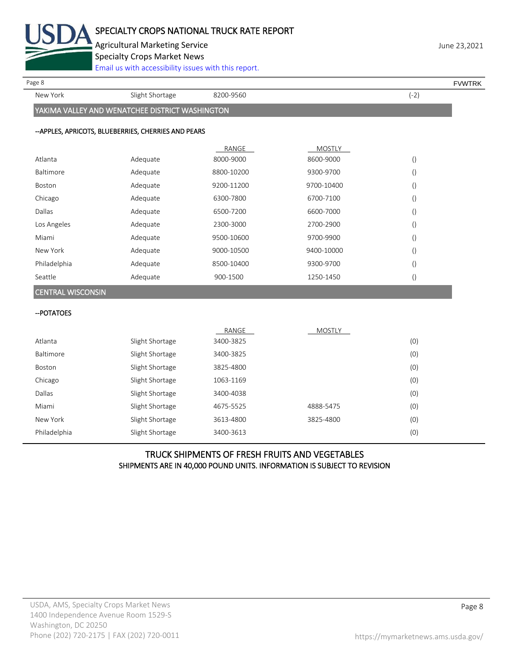

Agricultural Marketing Service **Agricultural Marketing Service** Agricultural Marketing Service Specialty Crops Market News

[Email us with accessibility issues with this report.](mailto:mars@ams.usda.gov?subject=508%20Inquiry/Report)

New York Slight Shortage 8200-9560 Rew York (-2)

Page 8 FOR THE SERVER SERVER SERVER SERVER SERVER SERVER SERVER SERVER SERVER SERVER SERVER SERVER SERVER SERVER SERVER SERVER SERVER SERVER SERVER SERVER SERVER SERVER SERVER SERVER SERVER SERVER SERVER SERVER SERVER SERV

YAKIMA VALLEY AND WENATCHEE DISTRICT WASHINGTON

# --APPLES, APRICOTS, BLUEBERRIES, CHERRIES AND PEARS

|                          |          | RANGE      | <b>MOSTLY</b> |                  |
|--------------------------|----------|------------|---------------|------------------|
| Atlanta                  | Adequate | 8000-9000  | 8600-9000     | $\left( \right)$ |
| <b>Baltimore</b>         | Adequate | 8800-10200 | 9300-9700     | $\cup$           |
| Boston                   | Adequate | 9200-11200 | 9700-10400    | $\left( \right)$ |
| Chicago                  | Adequate | 6300-7800  | 6700-7100     | $\left( \right)$ |
| Dallas                   | Adequate | 6500-7200  | 6600-7000     | $\left( \right)$ |
| Los Angeles              | Adequate | 2300-3000  | 2700-2900     | $\left( \right)$ |
| Miami                    | Adequate | 9500-10600 | 9700-9900     | $\left( \right)$ |
| New York                 | Adequate | 9000-10500 | 9400-10000    | $\left(\right)$  |
| Philadelphia             | Adequate | 8500-10400 | 9300-9700     | $\left( \right)$ |
| Seattle                  | Adequate | 900-1500   | 1250-1450     | $\left( \right)$ |
| <b>CENTRAL WISCONSIN</b> |          |            |               |                  |

--POTATOES

|               |                 | RANGE     | <b>MOSTLY</b> |     |
|---------------|-----------------|-----------|---------------|-----|
| Atlanta       | Slight Shortage | 3400-3825 |               | (0) |
| Baltimore     | Slight Shortage | 3400-3825 |               | (0) |
| Boston        | Slight Shortage | 3825-4800 |               | (0) |
| Chicago       | Slight Shortage | 1063-1169 |               | (0) |
| <b>Dallas</b> | Slight Shortage | 3400-4038 |               | (0) |
| Miami         | Slight Shortage | 4675-5525 | 4888-5475     | (0) |
| New York      | Slight Shortage | 3613-4800 | 3825-4800     | (0) |
| Philadelphia  | Slight Shortage | 3400-3613 |               | (0) |

# TRUCK SHIPMENTS OF FRESH FRUITS AND VEGETABLES SHIPMENTS ARE IN 40,000 POUND UNITS. INFORMATION IS SUBJECT TO REVISION